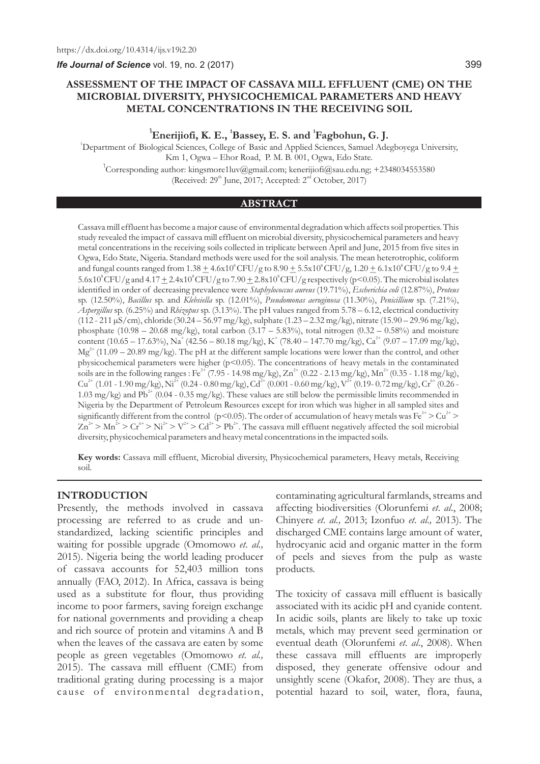*Ife Journal of Science* vol. 19, no. 2 (2017)

#### 399

# **ASSESSMENT OF THE IMPACT OF CASSAVA MILL EFFLUENT (CME) ON THE MICROBIAL DIVERSITY, PHYSICOCHEMICAL PARAMETERS AND HEAVY METAL CONCENTRATIONS IN THE RECEIVING SOIL**

## <sup>1</sup> Enerijiofi, K. E., <sup>1</sup> Bassey, E. S. and <sup>1</sup> Fagbohun, G. J.

<sup>1</sup>Department of Biological Sciences, College of Basic and Applied Sciences, Samuel Adegboyega University, Km 1, Ogwa – Ehor Road, P. M. B. 001, Ogwa, Edo State.  $^{\rm I}$ Corresponding author: kingsmore1luv@gmail.com; kenerijiofi@sau.edu.ng; +2348034553580 (Received:  $29<sup>th</sup>$  June, 2017; Accepted:  $2<sup>nd</sup>$  October, 2017)

## **ABSTRACT**

Cassava mill effluent has become a major cause of environmental degradation which affects soil properties. This study revealed the impact of cassava mill effluent on microbial diversity, physicochemical parameters and heavy metal concentrations in the receiving soils collected in triplicate between April and June, 2015 from five sites in Ogwa, Edo State, Nigeria. Standard methods were used for the soil analysis. The mean heterotrophic, coliform and fungal counts ranged from  $1.38 \pm 4.6 \times 10^8$  CFU/g to  $8.90 \pm 5.5 \times 10^8$  CFU/g,  $1.20 \pm 6.1 \times 10^8$  CFU/g to  $9.4 \pm 1.6 \times 10^8$  $5.6 \times 10^8$  CFU/g and  $4.17 \pm 2.4 \times 10^8$  CFU/g to  $7.90 \pm 2.8 \times 10^8$  CFU/g respectively (p<0.05). The microbial isolates identified in order of decreasing prevalence were *Staphylococcus aureus* (19.71%), *Escherichia coli* (12.87%), *Proteus*  sp. (12.50%), *Bacillus* sp. and *Klebsiella* sp. (12.01%), *Pseudomonas aeruginosa* (11.30%), *Penicillium* sp. (7.21%), *Aspergillus* sp. (6.25%) and *Rhizopus* sp. (3.13%). The pH values ranged from 5.78 – 6.12, electrical conductivity (112 - 211 µS/cm), chloride(30.24 – 56.97 mg/kg), sulphate (1.23 – 2.32 mg/kg), nitrate (15.90 – 29.96 mg/kg), phosphate  $(10.98 - 20.68 \text{ mg/kg})$ , total carbon  $(3.17 - 5.83\%)$ , total nitrogen  $(0.32 - 0.58\%)$  and moisture content (10.65 – 17.63%), Na<sup>+</sup> (42.56 – 80.18 mg/kg), K<sup>+</sup> (78.40 – 147.70 mg/kg), Ca<sup>2+</sup> (9.07 – 17.09 mg/kg),  $Mg^{2+}$  (11.09 – 20.89 mg/kg). The pH at the different sample locations were lower than the control, and other physicochemical parameters were higher (p<0.05). The concentrations of heavy metals in the contaminated soils are in the following ranges : Fe<sup>2+</sup> (7.95 - 14.98 mg/kg), Zn<sup>2+</sup> (0.22 - 2.13 mg/kg), Mn<sup>2+</sup> (0.35 - 1.18 mg/kg),  $Cu^{2+}$  (1.01 - 1.90 mg/kg), Ni<sup>2+</sup> (0.24 - 0.80 mg/kg),  $Cd^{2+}$  (0.001 - 0.60 mg/kg), V<sup>2+</sup> (0.19 - 0.72 mg/kg),  $Cr^{6+}$  (0.26 -1.03 mg/kg) and Pb<sup>2+</sup> (0.04 - 0.35 mg/kg). These values are still below the permissible limits recommended in Nigeria by the Department of Petroleum Resources except for iron which was higher in all sampled sites and significantly different from the control (p<0.05). The order of accumulation of heavy metals was Fe<sup>3+</sup> > Cu<sup>2+</sup> >  $Zn^{2+} > Mn^{2+} > Cr^{4+} > Ni^{2+} > V^{2+} > Cd^{2+} > Pb^{2+}$ . The cassava mill effluent negatively affected the soil microbial diversity, physicochemical parameters and heavy metal concentrations in the impacted soils.

**Key words:** Cassava mill effluent, Microbial diversity, Physicochemical parameters, Heavy metals, Receiving soil.

### **INTRODUCTION**

Presently, the methods involved in cassava processing are referred to as crude and unstandardized, lacking scientific principles and waiting for possible upgrade (Omomowo *et*. *al.,*  2015). Nigeria being the world leading producer of cassava accounts for 52,403 million tons annually (FAO, 2012). In Africa, cassava is being used as a substitute for flour, thus providing income to poor farmers, saving foreign exchange for national governments and providing a cheap and rich source of protein and vitamins A and B when the leaves of the cassava are eaten by some people as green vegetables (Omomowo *et*. *al.,*  2015). The cassava mill effluent (CME) from traditional grating during processing is a major cause of environmental degradation,

contaminating agricultural farmlands, streams and affecting biodiversities (Olorunfemi *et*. *al*., 2008; Chinyere *et*. *al.,* 2013; Izonfuo *et*. *al.,* 2013). The discharged CME contains large amount of water, hydrocyanic acid and organic matter in the form of peels and sieves from the pulp as waste products.

The toxicity of cassava mill effluent is basically associated with its acidic pH and cyanide content. In acidic soils, plants are likely to take up toxic metals, which may prevent seed germination or eventual death (Olorunfemi *et*. *al*., 2008). When these cassava mill effluents are improperly disposed, they generate offensive odour and unsightly scene (Okafor, 2008). They are thus, a potential hazard to soil, water, flora, fauna,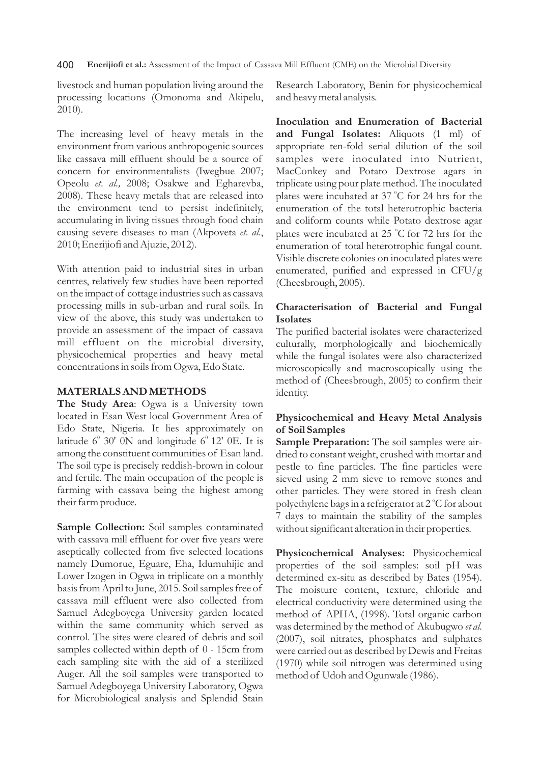400 **Enerijiofi et al.:** Assessment of the Impact of Cassava Mill Effluent (CME) on the Microbial Diversity

livestock and human population living around the processing locations (Omonoma and Akipelu, 2010).

The increasing level of heavy metals in the environment from various anthropogenic sources like cassava mill effluent should be a source of concern for environmentalists (Iwegbue 2007; Opeolu *et*. *al.,* 2008; Osakwe and Egharevba, 2008). These heavy metals that are released into the environment tend to persist indefinitely, accumulating in living tissues through food chain causing severe diseases to man (Akpoveta *et*. *al*., 2010; Enerijiofi and Ajuzie, 2012).

With attention paid to industrial sites in urban centres, relatively few studies have been reported on the impact of cottage industries such as cassava processing mills in sub-urban and rural soils. In view of the above, this study was undertaken to provide an assessment of the impact of cassava mill effluent on the microbial diversity, physicochemical properties and heavy metal concentrations in soils from Ogwa, Edo State.

## **MATERIALS AND METHODS**

**The Study Area**: Ogwa is a University town located in Esan West local Government Area of Edo State, Nigeria. It lies approximately on latitude  $6^{\circ}$  30' 0N and longitude  $6^{\circ}$  12' 0E. It is among the constituent communities of Esan land. The soil type is precisely reddish-brown in colour and fertile. The main occupation of the people is farming with cassava being the highest among their farm produce.

**Sample Collection:** Soil samples contaminated with cassava mill effluent for over five years were aseptically collected from five selected locations namely Dumorue, Eguare, Eha, Idumuhijie and Lower Izogen in Ogwa in triplicate on a monthly basis from April to June, 2015. Soil samples free of cassava mill effluent were also collected from Samuel Adegboyega University garden located within the same community which served as control. The sites were cleared of debris and soil samples collected within depth of 0 - 15cm from each sampling site with the aid of a sterilized Auger. All the soil samples were transported to Samuel Adegboyega University Laboratory, Ogwa for Microbiological analysis and Splendid Stain Research Laboratory, Benin for physicochemical and heavy metal analysis.

**Inoculation and Enumeration of Bacterial and Fungal Isolates:** Aliquots (1 ml) of appropriate ten-fold serial dilution of the soil samples were inoculated into Nutrient, MacConkey and Potato Dextrose agars in triplicate using pour plate method. The inoculated plates were incubated at 37 °C for 24 hrs for the enumeration of the total heterotrophic bacteria and coliform counts while Potato dextrose agar plates were incubated at 25 °C for 72 hrs for the enumeration of total heterotrophic fungal count. Visible discrete colonies on inoculated plates were enumerated, purified and expressed in CFU/g (Cheesbrough, 2005).

# **Characterisation of Bacterial and Fungal Isolates**

The purified bacterial isolates were characterized culturally, morphologically and biochemically while the fungal isolates were also characterized microscopically and macroscopically using the method of (Cheesbrough, 2005) to confirm their identity.

# **Physicochemical and Heavy Metal Analysis of Soil Samples**

**Sample Preparation:** The soil samples were airdried to constant weight, crushed with mortar and pestle to fine particles. The fine particles were sieved using 2 mm sieve to remove stones and other particles. They were stored in fresh clean polyethylene bags in a refrigerator at 2 °C for about 7 days to maintain the stability of the samples without significant alteration in their properties.

**Physicochemical Analyses:** Physicochemical properties of the soil samples: soil pH was determined ex-situ as described by Bates (1954). The moisture content, texture, chloride and electrical conductivity were determined using the method of APHA, (1998). Total organic carbon was determined by the method of Akubugwo *et al*. (2007), soil nitrates, phosphates and sulphates were carried out as described by Dewis and Freitas (1970) while soil nitrogen was determined using method of Udoh and Ogunwale (1986).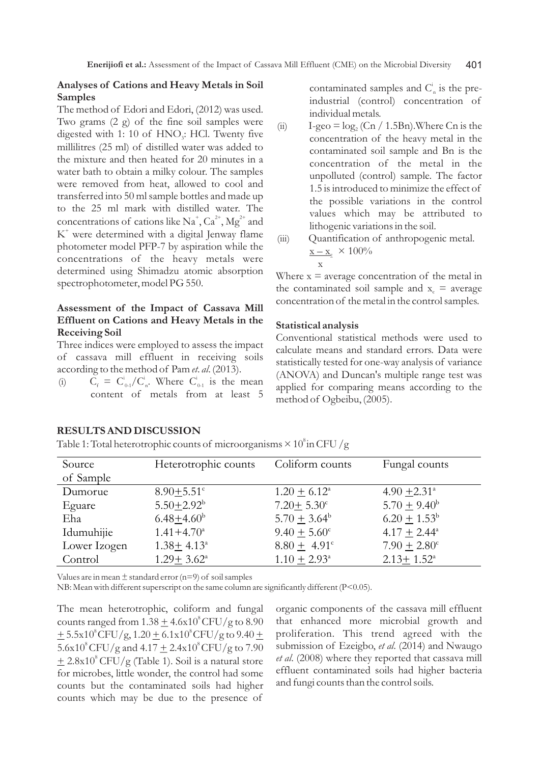## **Analyses of Cations and Heavy Metals in Soil Samples**

The method of Edori and Edori, (2012) was used. Two grams (2 g) of the fine soil samples were digested with 1: 10 of  $HNO$ : HCl. Twenty five millilitres (25 ml) of distilled water was added to the mixture and then heated for 20 minutes in a water bath to obtain a milky colour. The samples were removed from heat, allowed to cool and transferred into 50 ml sample bottles and made up to the 25 ml mark with distilled water. The concentrations of cations like Na<sup>+</sup>, Ca<sup>2+</sup>, Mg<sup>2+</sup> and  $K^*$  were determined with a digital Jenway flame photometer model PFP-7 by aspiration while the concentrations of the heavy metals were determined using Shimadzu atomic absorption spectrophotometer, model PG 550.

# **Assessment of the Impact of Cassava Mill Effluent on Cations and Heavy Metals in the Receiving Soil**

Three indices were employed to assess the impact of cassava mill effluent in receiving soils according to the method of Pam *et*. *al*. (2013).

(i)  $C_f = C_{0-1}^i / C_n^i$ . Where  $C_{0-1}^i$  is the mean content of metals from at least 5

contaminated samples and  $C_{n}^{i}$  is the preindustrial (control) concentration of individual metals.

- (ii) I-geo =  $log_2$  (Cn / 1.5Bn). Where Cn is the concentration of the heavy metal in the contaminated soil sample and Bn is the concentration of the metal in the unpolluted (control) sample. The factor 1.5 is introduced to minimize the effect of the possible variations in the control values which may be attributed to lithogenic variations in the soil.
- (iii) Quantification of anthropogenic metal.  $\mathbf{x} - \mathbf{x}_c \times 100\%$ **x**

Where  $x =$  average concentration of the metal in the contaminated soil sample and  $x_c$  = average concentration of the metal in the control samples.

### **Statistical analysis**

Conventional statistical methods were used to calculate means and standard errors. Data were statistically tested for one-way analysis of variance (ANOVA) and Duncan's multiple range test was applied for comparing means according to the method of Ogbeibu, (2005).

### **RESULTS AND DISCUSSION**

Table 1: Total heterotrophic counts of microorganisms  $\times$  10<sup>8</sup> in CFU /g

| Source       | Heterotrophic counts       | Coliform counts         | Fungal counts              |
|--------------|----------------------------|-------------------------|----------------------------|
| of Sample    |                            |                         |                            |
| Dumorue      | $8.90 + 5.51$ <sup>c</sup> | $1.20 + 6.12^{\circ}$   | $4.90 + 2.31$ <sup>a</sup> |
| Eguare       | $5.50 + 2.92^b$            | $7.20 \pm 5.30^{\circ}$ | $5.70 + 9.40^b$            |
| Eha          | $6.48 + 4.60b$             | $5.70 + 3.64^b$         | $6.20 + 1.53^b$            |
| Idumuhijie   | $1.41 + 4.70^a$            | $9.40 + 5.60^{\circ}$   | $4.17 + 2.44^{\circ}$      |
| Lower Izogen | $1.38 + 4.13^a$            | $8.80 \pm 4.91^{\circ}$ | $7.90 + 2.80^{\circ}$      |
| Control      | $1.29 + 3.62^{\circ}$      | $1.10 + 2.93^{\circ}$   | $2.13 + 1.52^{\circ}$      |

Values are in mean  $\pm$  standard error (n=9) of soil samples

NB: Mean with different superscript on the same column are significantly different (P<0.05).

The mean heterotrophic, coliform and fungal counts ranged from  $1.38 \pm 4.6 \times 10^8$  CFU/g to  $8.90$  $\pm$  5.5x10<sup>8</sup>CFU/g, 1.20  $\pm$  6.1x10<sup>8</sup>CFU/g to 9.40  $\pm$  $5.6x10^8$  CFU/g and  $4.17 \pm 2.4x10^8$  CFU/g to 7.90  $8+ 2.8x10^8$  CFU/g (Table 1). Soil is a natural store for microbes, little wonder, the control had some counts but the contaminated soils had higher counts which may be due to the presence of

organic components of the cassava mill effluent that enhanced more microbial growth and proliferation. This trend agreed with the submission of Ezeigbo, *et al*. (2014) and Nwaugo *et al*. (2008) where they reported that cassava mill effluent contaminated soils had higher bacteria and fungi counts than the control soils.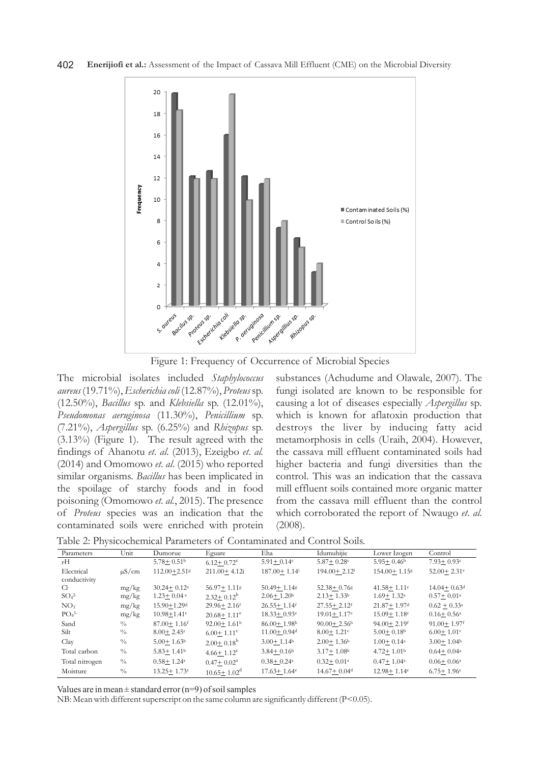

Figure 1: Frequency of Occurrence of Microbial Species

The microbial isolates included *Staphylococcus aureus* (19.71%),*Escherichia coli* (12.87%), *Proteus* sp. (12.50%), *Bacillus* sp. and *Klebsiella* sp. (12.01%), *Pseudomonas aeruginosa* (11.30%), *Penicillium* sp. (7.21%), *Aspergillus* sp. (6.25%) and *Rhizopus* sp. (3.13%) (Figure 1). The result agreed with the findings of Ahanotu *et*. *al*. (2013), Ezeigbo *et*. *al.* (2014) and Omomowo *et*. *al*. (2015) who reported similar organisms. *Bacillus* has been implicated in the spoilage of starchy foods and in food poisoning (Omomowo *et*. *al.*, 2015). The presence of *Proteus* species was an indication that the contaminated soils were enriched with protein substances (Achudume and Olawale, 2007). The fungi isolated are known to be responsible for causing a lot of diseases especially *Aspergillus* sp*.*  which is known for aflatoxin production that destroys the liver by inducing fatty acid metamorphosis in cells (Uraih, 2004). However, the cassava mill effluent contaminated soils had higher bacteria and fungi diversities than the control. This was an indication that the cassava mill effluent soils contained more organic matter from the cassava mill effluent than the control which corroborated the report of Nwaugo *et*. *al*. (2008).

| Table 2: Physicochemical Parameters of Contaminated and Control Soils. |  |  |
|------------------------------------------------------------------------|--|--|
|------------------------------------------------------------------------|--|--|

| Parameters                   | Unit          | Dumorue                      | Eguare                      | Eha                         | Idumuhijie                   | Lower Izogen                 | Control                     |
|------------------------------|---------------|------------------------------|-----------------------------|-----------------------------|------------------------------|------------------------------|-----------------------------|
| pH                           |               | $5.78 \pm 0.51$ <sup>b</sup> | $6.12 + 0.72^c$             | $5.91 \pm 0.14$ c           | $5.87 \pm 0.28$ c            | $5.95 + 0.46^{\rm b}$        | $7.93 + 0.93c$              |
| Electrical                   | $\mu$ S/cm    | $112.00 + 2.51$ s            | $211.00 + 4.12i$            | $187.00 + 1.14$             | $194.00 + 2.12$ <sup>i</sup> | 154.00+1.15g                 | $52.00 + 2.31$ <sup>e</sup> |
| conductivity                 |               |                              |                             |                             |                              |                              |                             |
| Cŀ                           | mg/kg         | $30.24 + 0.12$ <sup>e</sup>  | $56.97 + 1.11$ g            | $50.49 + 1.148$             | $52.38 + 0.768$              | $41.58 + 1.11$ <sup>e</sup>  | $14.04 + 0.63$ <sup>d</sup> |
| SO <sub>4</sub> <sup>2</sup> | mg/kg         | $1.23 \pm 0.04$ <sup>a</sup> | $2.32 + 0.12^b$             | $2.06 + 1.20b$              | $2.13 + 1.33b$               | $1.69 + 1.32$ <sup>a</sup>   | $0.57 + 0.01$ <sup>a</sup>  |
| NO <sub>3</sub>              | mg/kg         | $15.90 + 1.29$ <sup>d</sup>  | $29.96 + 2.16$ <sup>f</sup> | $26.55 + 1.14$ <sup>f</sup> | $27.55 + 2.12$ <sup>f</sup>  | $21.87 + 1.97d$              | $0.62 + 0.33^a$             |
| PO <sub>4</sub> 3            | mg/kg         | $10.98 \pm 1.41$ c           | $20.68 + 1.11^{\circ}$      | $18.33 + 0.93e$             | $19.01 + 1.17$ <sup>e</sup>  | $15.09 + 1.18c$              | $0.16 + 0.56^{\circ}$       |
| Sand                         | $\frac{0}{0}$ | $87.00 + 1.16$ <sup>f</sup>  | $92.00 + 1.61$ <sup>h</sup> | $86.00 + 1.98$ h            | $90.00 + 2.56h$              | $94.00 + 2.19$ <sup>f</sup>  | $91.00 + 1.97$ <sup>f</sup> |
| Silt                         | $\frac{0}{0}$ | $8.00 \pm 2.45$ c            | $6.00 + 1.11$ <sup>c</sup>  | $11.00 + 0.94$ <sup>d</sup> | $8.00 + 1.21$ c              | $5.00 \pm 0.18$ <sup>b</sup> | $6.00 + 1.01$ <sup>c</sup>  |
| Clay                         | $\frac{0}{0}$ | $5.00 + 1.63^b$              | $2.00 \pm 0.18^{\rm b}$     | $3.00 + 1.14^b$             | $2.00+1.36b$                 | $1.00 + 0.14$ <sup>a</sup>   | $3.00 + 1.04b$              |
| Total carbon                 | $\frac{0}{0}$ | $5.83 + 1.41b$               | $4.66 + 1.12$ <sup>c</sup>  | $3.84 + 0.16b$              | $3.17+1.08b$                 | $4.72 + 1.01b$               | $0.64 + 0.04$ <sup>a</sup>  |
| Total nitrogen               | $\frac{0}{0}$ | $0.58 + 1.24$ <sup>a</sup>   | $0.47 + 0.02^a$             | $0.38 + 0.24$ <sup>a</sup>  | $0.32 + 0.01$ <sup>a</sup>   | $0.47 + 1.04^a$              | $0.06 + 0.06^a$             |
| Moisture                     | $\frac{0}{0}$ | $13.25 + 1.73c$              | $10.65 + 1.02^d$            | $17.63 + 1.64e$             | $14.67 + 0.04$ <sup>d</sup>  | $12.98 + 1.14c$              | $6.75 + 1.96c$              |

Values are in mean  $\pm$  standard error (n=9) of soil samples

NB: Mean with different superscript on the same column are significantly different (P<0.05).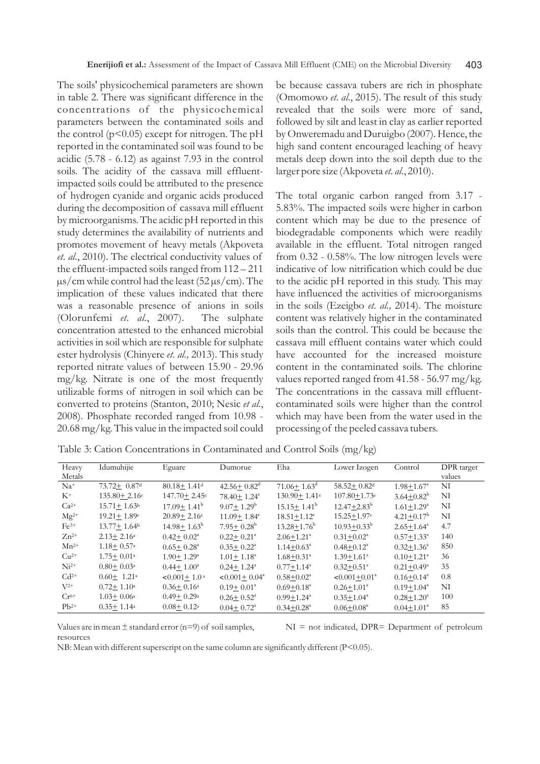The soils' physicochemical parameters are shown in table 2. There was significant difference in the concentrations of the physicochemical parameters between the contaminated soils and the control  $(p<0.05)$  except for nitrogen. The pH reported in the contaminated soil was found to be acidic (5.78 - 6.12) as against 7.93 in the control soils. The acidity of the cassava mill effluentimpacted soils could be attributed to the presence of hydrogen cyanide and organic acids produced during the decomposition of cassava mill effluent by microorganisms. The acidic pH reported in this study determines the availability of nutrients and promotes movement of heavy metals (Akpoveta *et*. *al*., 2010). The electrical conductivity values of the effluent-impacted soils ranged from 112 – 211  $\mu$ s/cm while control had the least (52  $\mu$ s/cm). The implication of these values indicated that there was a reasonable presence of anions in soils (Olorunfemi *et*. *al.*, 2007). The sulphate concentration attested to the enhanced microbial activities in soil which are responsible for sulphate ester hydrolysis (Chinyere *et*. *al.,* 2013). This study reported nitrate values of between 15.90 - 29.96 mg/kg. Nitrate is one of the most frequently utilizable forms of nitrogen in soil which can be converted to proteins (Stanton, 2010; Nesic *et al*., 2008). Phosphate recorded ranged from 10.98 - 20.68 mg/kg. This value in the impacted soil could

be because cassava tubers are rich in phosphate (Omomowo *et*. *al*., 2015). The result of this study revealed that the soils were more of sand, followed by silt and least in clay as earlier reported by Onweremadu and Duruigbo (2007). Hence, the high sand content encouraged leaching of heavy metals deep down into the soil depth due to the larger pore size (Akpoveta *et*. *al*., 2010).

The total organic carbon ranged from 3.17 - 5.83%. The impacted soils were higher in carbon content which may be due to the presence of biodegradable components which were readily available in the effluent. Total nitrogen ranged from 0.32 - 0.58%. The low nitrogen levels were indicative of low nitrification which could be due to the acidic pH reported in this study. This may have influenced the activities of microorganisms in the soils (Ezeigbo *et*. *al.,* 2014). The moisture content was relatively higher in the contaminated soils than the control. This could be because the cassava mill effluent contains water which could have accounted for the increased moisture content in the contaminated soils. The chlorine values reported ranged from 41.58 - 56.97 mg/kg. The concentrations in the cassava mill effluentcontaminated soils were higher than the control which may have been from the water used in the processing of the peeled cassava tubers.

| Table 3: Cation Concentrations in Contaminated and Control Soils (mg/kg) |  |  |  |
|--------------------------------------------------------------------------|--|--|--|
|                                                                          |  |  |  |

| Heavy     | Idumuhijie                     | Eguare                       | Dumorue                      | Eha                            | Lower Izogen                   | Control                    | DPR target |
|-----------|--------------------------------|------------------------------|------------------------------|--------------------------------|--------------------------------|----------------------------|------------|
| Metals    |                                |                              |                              |                                |                                |                            | values     |
| $Na+$     | $73.72 + 0.87$ d               | $80.18 + 1.41$ d             | $42.56 + 0.82^d$             | $71.06 \pm 1.63$ <sup>d</sup>  | $58.52 + 0.82$ <sup>d</sup>    | $1.98 + 1.67$ <sup>a</sup> | NI         |
| $K^+$     | $135.80 \pm 2.16$ <sup>e</sup> | $147.70 + 2.45$ <sup>e</sup> | $78.40 + 1.24^e$             | $130.90 \pm 1.41$ <sup>e</sup> | $107.80 \pm 1.73$ <sup>e</sup> | $3.64 + 0.82^b$            | NI         |
| $Ca^{2+}$ | $15.71 + 1.63b$                | $17.09 \pm 1.41^{\rm b}$     | $9.07 + 1.29^{\rm b}$        | $15.15 \pm 1.41^{\rm b}$       | $12.47 + 2.83^b$               | $1.61 + 1.29$ <sup>a</sup> | NI         |
| $Mg^{2+}$ | $19.21 + 1.89c$                | $20.89 + 2.16c$              | $11.09 + 1.84$ <sup>c</sup>  | $18.51 + 1.12$ <sup>c</sup>    | $15.25 + 1.97c$                | $4.21 \pm 0.17^{\rm b}$    | NI         |
| $Fe3+$    | $13.77 + 1.64b$                | $14.98 \pm 1.63^{\rm b}$     | $7.95 \pm 0.28^{\rm b}$      | $13.28 \pm 1.76^{\rm b}$       | $10.93 + 0.33^b$               | $2.65 + 1.64^a$            | 4.7        |
| $Zn^{2+}$ | $2.13 + 2.16a$                 | $0.42 + 0.02^a$              | $0.22 \pm 0.21$ <sup>a</sup> | $2.06 + 1.21$ <sup>a</sup>     | $0.31 + 0.02^a$                | $0.57 + 1.33^a$            | 140        |
| $Mn^{2+}$ | $1.18 + 0.57$ <sup>a</sup>     | $0.65 \pm 0.28$ <sup>a</sup> | $0.35 + 0.22^a$              | $1.14 + 0.63^a$                | $0.48 + 0.12^a$                | $0.32 + 1.36^a$            | 850        |
| $Cu2+$    | $1.75 + 0.01$ <sup>a</sup>     | $1.90 + 1.29$ <sup>a</sup>   | $1.01 \pm 1.18^a$            | $1.68 + 0.31$ <sup>a</sup>     | $1.39 + 1.61^a$                | $0.10 + 1.21$ <sup>a</sup> | 36         |
| $Ni2+$    | $0.80 + 0.03$ <sup>a</sup>     | $0.44 + 1.00^a$              | $0.24 \pm 1.24^a$            | $0.77 + 1.14^a$                | $0.32 + 0.51$ <sup>a</sup>     | $0.21 + 0.49^a$            | 35         |
| $Cd2+$    | $0.60 \pm 1.21$ <sup>a</sup>   | $< 0.001 + 1.0$ <sup>a</sup> | $< 0.001 + 0.04^{\circ}$     | $0.58 + 0.02^a$                | $<0.001+0.01^a$                | $0.16 + 0.14$ <sup>a</sup> | 0.8        |
| $V^{2+}$  | $0.72 \pm 1.10^{\circ}$        | $0.36 + 0.16^a$              | $0.19 + 0.01^a$              | $0.69 + 0.18$ <sup>a</sup>     | $0.26 + 1.01^a$                | $0.19 + 1.04^a$            | NI         |
| $Cr^{6+}$ | $1.03 + 0.06a$                 | $0.49 \pm 0.29$ <sup>a</sup> | $0.26 + 0.52^{\mathrm{a}}$   | $0.99 + 1.24$ <sup>a</sup>     | $0.35 + 1.04^a$                | $0.28 + 1.20^a$            | 100        |
| $Pb^{2+}$ | $0.35 + 1.14$ <sup>a</sup>     | $0.08 + 0.12$ <sup>a</sup>   | $0.04 + 0.72^a$              | $0.34 + 0.28$ <sup>a</sup>     | $0.06 + 0.08a$                 | $0.04 + 1.01^a$            | 85         |

Values are in mean  $\pm$  standard error (n=9) of soil samples,  $NI = not$  indicated, DPR= Department of petroleum resources

NB: Mean with different superscript on the same column are significantly different (P<0.05).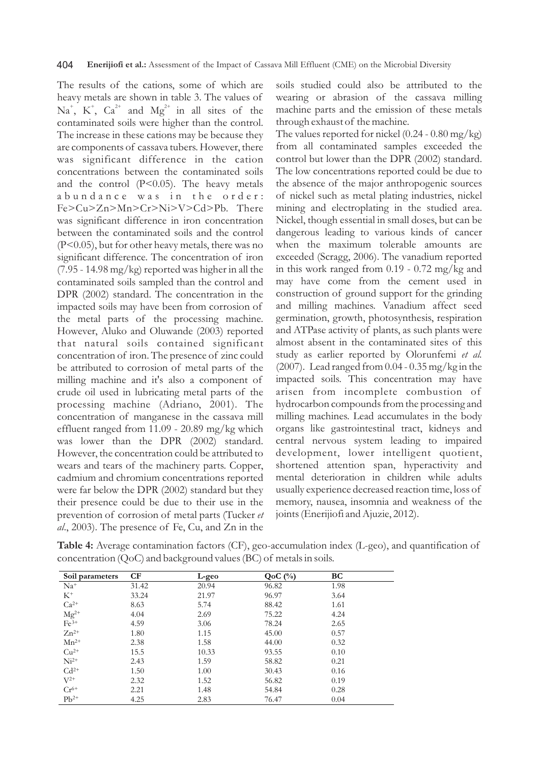The results of the cations, some of which are heavy metals are shown in table 3. The values of  $\mathrm{Na}^*$ ,  $\mathrm{K}^*$ ,  $\mathrm{Ca}^{2+}$  and  $\mathrm{Mg}^{2+}$  in all sites of the contaminated soils were higher than the control. The increase in these cations may be because they are components of cassava tubers. However, there was significant difference in the cation concentrations between the contaminated soils and the control  $(P<0.05)$ . The heavy metals a bundance was in the order: Fe>Cu>Zn>Mn>Cr>Ni>V>Cd>Pb. There was significant difference in iron concentration between the contaminated soils and the control (P<0.05), but for other heavy metals, there was no significant difference. The concentration of iron (7.95 - 14.98 mg/kg) reported was higher in all the contaminated soils sampled than the control and DPR (2002) standard. The concentration in the impacted soils may have been from corrosion of the metal parts of the processing machine. However, Aluko and Oluwande (2003) reported that natural soils contained significant concentration of iron. The presence of zinc could be attributed to corrosion of metal parts of the milling machine and it's also a component of crude oil used in lubricating metal parts of the processing machine (Adriano, 2001). The concentration of manganese in the cassava mill effluent ranged from 11.09 - 20.89 mg/kg which was lower than the DPR (2002) standard. However, the concentration could be attributed to wears and tears of the machinery parts. Copper, cadmium and chromium concentrations reported were far below the DPR (2002) standard but they their presence could be due to their use in the prevention of corrosion of metal parts (Tucker *et al*., 2003). The presence of Fe, Cu, and Zn in the soils studied could also be attributed to the wearing or abrasion of the cassava milling machine parts and the emission of these metals through exhaust of the machine.

The values reported for nickel  $(0.24 - 0.80 \text{ mg/kg})$ from all contaminated samples exceeded the control but lower than the DPR (2002) standard. The low concentrations reported could be due to the absence of the major anthropogenic sources of nickel such as metal plating industries, nickel mining and electroplating in the studied area. Nickel, though essential in small doses, but can be dangerous leading to various kinds of cancer when the maximum tolerable amounts are exceeded (Scragg, 2006). The vanadium reported in this work ranged from 0.19 - 0.72 mg/kg and may have come from the cement used in construction of ground support for the grinding and milling machines. Vanadium affect seed germination, growth, photosynthesis, respiration and ATPase activity of plants, as such plants were almost absent in the contaminated sites of this study as earlier reported by Olorunfemi *et al.*  (2007). Lead ranged from 0.04 - 0.35 mg/kg in the impacted soils. This concentration may have arisen from incomplete combustion of hydrocarbon compounds from the processing and milling machines. Lead accumulates in the body organs like gastrointestinal tract, kidneys and central nervous system leading to impaired development, lower intelligent quotient, shortened attention span, hyperactivity and mental deterioration in children while adults usually experience decreased reaction time, loss of memory, nausea, insomnia and weakness of the joints (Enerijiofi and Ajuzie, 2012).

| Table 4: Average contamination factors (CF), geo-accumulation index (L-geo), and quantification of |  |
|----------------------------------------------------------------------------------------------------|--|
| concentration ( $QoC$ ) and background values ( $BC$ ) of metals in soils.                         |  |

| Soil parameters                                            | CF    | L-geo | $QoC$ $(\%)$ | BC   |
|------------------------------------------------------------|-------|-------|--------------|------|
| $Na+$                                                      | 31.42 | 20.94 | 96.82        | 1.98 |
| $K^+$                                                      | 33.24 | 21.97 | 96.97        | 3.64 |
| $Ca^{2+}$                                                  | 8.63  | 5.74  | 88.42        | 1.61 |
| $\begin{array}{l} \rm{Mg^{2+}}\\ \rm{Fe^{3+}} \end{array}$ | 4.04  | 2.69  | 75.22        | 4.24 |
|                                                            | 4.59  | 3.06  | 78.24        | 2.65 |
| $Zn^{2+}$                                                  | 1.80  | 1.15  | 45.00        | 0.57 |
| $Mn^{2+}$                                                  | 2.38  | 1.58  | 44.00        | 0.32 |
| $Cu2+$                                                     | 15.5  | 10.33 | 93.55        | 0.10 |
| $Ni2+$                                                     | 2.43  | 1.59  | 58.82        | 0.21 |
| $Cd2+$                                                     | 1.50  | 1.00  | 30.43        | 0.16 |
| $V^{2+}$                                                   | 2.32  | 1.52  | 56.82        | 0.19 |
| $Cr^{6+}$                                                  | 2.21  | 1.48  | 54.84        | 0.28 |
| $Pb^{2+}$                                                  | 4.25  | 2.83  | 76.47        | 0.04 |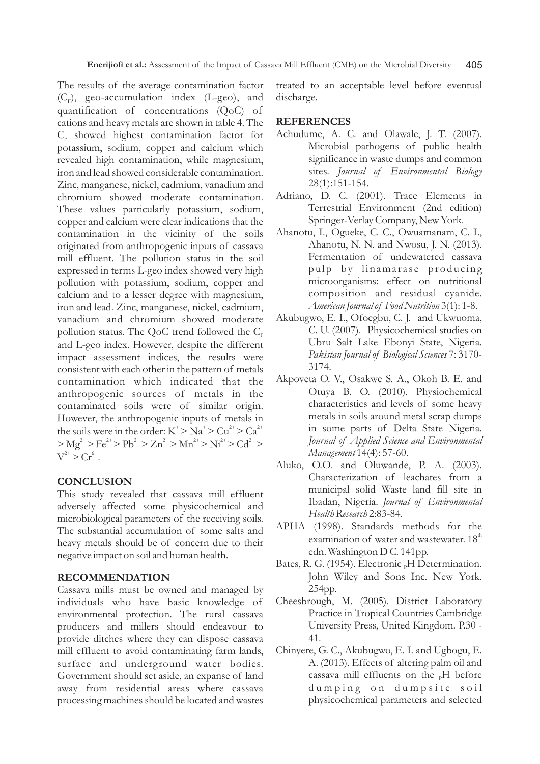The results of the average contamination factor  $(C_F)$ , geo-accumulation index (L-geo), and quantification of concentrations (QoC) of cations and heavy metals are shown in table 4. The  $C_{\rm E}$  showed highest contamination factor for potassium, sodium, copper and calcium which revealed high contamination, while magnesium, iron and lead showed considerable contamination. Zinc, manganese, nickel, cadmium, vanadium and chromium showed moderate contamination. These values particularly potassium, sodium, copper and calcium were clear indications that the contamination in the vicinity of the soils originated from anthropogenic inputs of cassava mill effluent. The pollution status in the soil expressed in terms L-geo index showed very high pollution with potassium, sodium, copper and calcium and to a lesser degree with magnesium, iron and lead. Zinc, manganese, nickel, cadmium, vanadium and chromium showed moderate pollution status. The QoC trend followed the  $C_F$ and L-geo index. However, despite the different impact assessment indices, the results were consistent with each other in the pattern of metals contamination which indicated that the anthropogenic sources of metals in the contaminated soils were of similar origin. However, the anthropogenic inputs of metals in the soils were in the order:  $K^+$  >  $Na^+$  >  $Ca^{2+}$  $> Mg^{2+} > Fe^{2+} > Pb^{2+} > Zn^{2+} > Mn^{2+} > Ni^{2+} > Cd^{2+} >$  $V^{2+} > Cr^{6+}$ 

## **CONCLUSION**

This study revealed that cassava mill effluent adversely affected some physicochemical and microbiological parameters of the receiving soils. The substantial accumulation of some salts and heavy metals should be of concern due to their negative impact on soil and human health.

### **RECOMMENDATION**

Cassava mills must be owned and managed by individuals who have basic knowledge of environmental protection. The rural cassava producers and millers should endeavour to provide ditches where they can dispose cassava mill effluent to avoid contaminating farm lands, surface and underground water bodies. Government should set aside, an expanse of land away from residential areas where cassava processing machines should be located and wastes treated to an acceptable level before eventual discharge.

## **REFERENCES**

- Achudume, A. C. and Olawale, J. T. (2007). Microbial pathogens of public health significance in waste dumps and common sites. *Journal of Environmental Biology* 28(1):151-154.
- Adriano, D. C. (2001). Trace Elements in Terrestrial Environment (2nd edition) Springer-Verlay Company, New York.
- Ahanotu, I., Ogueke, C. C., Owuamanam, C. I., Ahanotu, N. N. and Nwosu, J. N. (2013). Fermentation of undewatered cassava pulp by linamarase producing microorganisms: effect on nutritional composition and residual cyanide. *American Journal of Food Nutrition* 3(1): 1-8.
- Akubugwo, E. I., Ofoegbu, C. J. and Ukwuoma, C. U. (2007). Physicochemical studies on Ubru Salt Lake Ebonyi State, Nigeria. *Pakistan Journal of Biological Sciences* 7: 3170- 3174.
- Akpoveta O. V., Osakwe S. A., Okoh B. E. and Otuya B. O. (2010). Physiochemical characteristics and levels of some heavy metals in soils around metal scrap dumps in some parts of Delta State Nigeria. *Journal of Applied Science and Environmental Management* 14(4): 57-60.
- Aluko, O.O. and Oluwande, P. A. (2003). Characterization of leachates from a municipal solid Waste land fill site in Ibadan, Nigeria. *Journal of Environmental Health Research* 2:83-84.
- APHA (1998). Standards methods for the examination of water and wastewater.  $18<sup>th</sup>$ edn. Washington D C. 141pp.
- Bates, R. G. (1954). Electronic  $_{p}H$  Determination. John Wiley and Sons Inc. New York. 254pp.
- Cheesbrough, M. (2005). District Laboratory Practice in Tropical Countries Cambridge University Press, United Kingdom. P.30 - 41.
- Chinyere, G. C., Akubugwo, E. I. and Ugbogu, E. A. (2013). Effects of altering palm oil and cassava mill effluents on the  $_{p}H$  before dumping on dumpsite soil physicochemical parameters and selected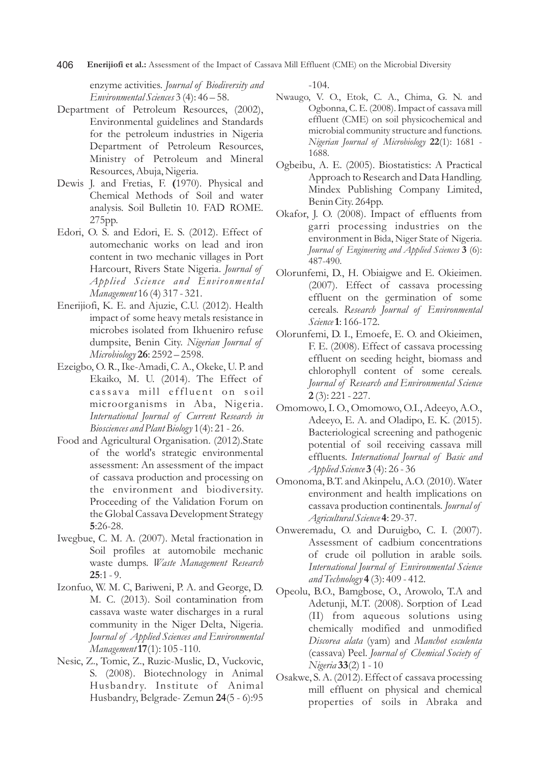406 **Enerijiofi et al.:** Assessment of the Impact of Cassava Mill Effluent (CME) on the Microbial Diversity

enzyme activities. *Journal of Biodiversity and Environmental Sciences* 3 (4): 46 – 58.

- Department of Petroleum Resources, (2002), Environmental guidelines and Standards for the petroleum industries in Nigeria Department of Petroleum Resources, Ministry of Petroleum and Mineral Resources, Abuja, Nigeria.
- Dewis J. and Fretias, F. **(**1970). Physical and Chemical Methods of Soil and water analysis. Soil Bulletin 10. FAD ROME. 275pp.
- Edori, O. S. and Edori, E. S. (2012). Effect of automechanic works on lead and iron content in two mechanic villages in Port Harcourt, Rivers State Nigeria. *Journal of Applied Science and Environmental Management* 16 (4) 317 - 321.
- Enerijiofi, K. E. and Ajuzie, C.U. (2012). Health impact of some heavy metals resistance in microbes isolated from Ikhueniro refuse dumpsite, Benin City. *Nigerian Journal of Microbiology* **26**: 2592 – 2598.
- Ezeigbo, O. R., Ike-Amadi, C. A., Okeke, U. P. and Ekaiko, M. U. (2014). The Effect of cassava mill effluent on soil microorganisms in Aba, Nigeria. *International Journal of Current Research in Biosciences and Plant Biology* 1(4): 21 - 26.
- Food and Agricultural Organisation. (2012).State of the world's strategic environmental assessment: An assessment of the impact of cassava production and processing on the environment and biodiversity. Proceeding of the Validation Forum on the Global Cassava Development Strategy **5**:26-28.
- Iwegbue, C. M. A. (2007). Metal fractionation in Soil profiles at automobile mechanic waste dumps. *Waste Management Research*  **25**:1 - 9.
- Izonfuo, W. M. C, Bariweni, P. A. and George, D. M. C. (2013). Soil contamination from cassava waste water discharges in a rural community in the Niger Delta, Nigeria. *Journal of Applied Sciences and Environmental Management***17**(1): 105 -110.
- Nesic, Z., Tomic, Z., Ruzic-Muslic, D., Vuckovic, S. (2008). Biotechnology in Animal Husbandry. Institute of Animal Husbandry, Belgrade- Zemun **24**(5 - 6):95

-104.

- Nwaugo, V. O., Etok, C. A., Chima, G. N. and Ogbonna, C. E. (2008). Impact of cassava mill effluent (CME) on soil physicochemical and microbial community structure and functions. *Nigerian Journal of Microbiology* **22**(1): 1681 - 1688.
- Ogbeibu, A. E. (2005). Biostatistics: A Practical Approach to Research and Data Handling. Mindex Publishing Company Limited, Benin City. 264pp.
- Okafor, J. O. (2008). Impact of effluents from garri processing industries on the environment in Bida, Niger State of Nigeria. *Journal of Engineering and Applied Sciences* **3** (6): 487-490.
- Olorunfemi, D., H. Obiaigwe and E. Okieimen. (2007). Effect of cassava processing effluent on the germination of some cereals. *Research Journal of Environmental Science***1**: 166-172.
- Olorunfemi, D. I., Emoefe, E. O. and Okieimen, F. E. (2008). Effect of cassava processing effluent on seeding height, biomass and chlorophyll content of some cereals. *Journal of Research and Environmental Science* **2** (3): 221 - 227.
- Omomowo, I. O., Omomowo, O.I., Adeeyo, A.O., Adeeyo, E. A. and Oladipo, E. K. (2015). Bacteriological screening and pathogenic potential of soil receiving cassava mill effluents. *International Journal of Basic and Applied Science* **3** (4): 26 - 36
- Omonoma, B.T. and Akinpelu, A.O. (2010). Water environment and health implications on cassava production continentals. *Journal of Agricultural Science* **4**: 29-37.
- Onweremadu, O. and Duruigbo, C. I. (2007). Assessment of cadbium concentrations of crude oil pollution in arable soils. *International Journal of Environmental Science and Technology* **4** (3): 409 - 412.
- Opeolu, B.O., Bamgbose, O., Arowolo, T.A and Adetunji, M.T. (2008). Sorption of Lead (II) from aqueous solutions using chemically modified and unmodified *Discorea alata* (yam) and *Manchot esculenta* (cassava) Peel. *Journal of Chemical Society of Nigeria* **33**(2) 1 - 10
- Osakwe, S. A. (2012). Effect of cassava processing mill effluent on physical and chemical properties of soils in Abraka and